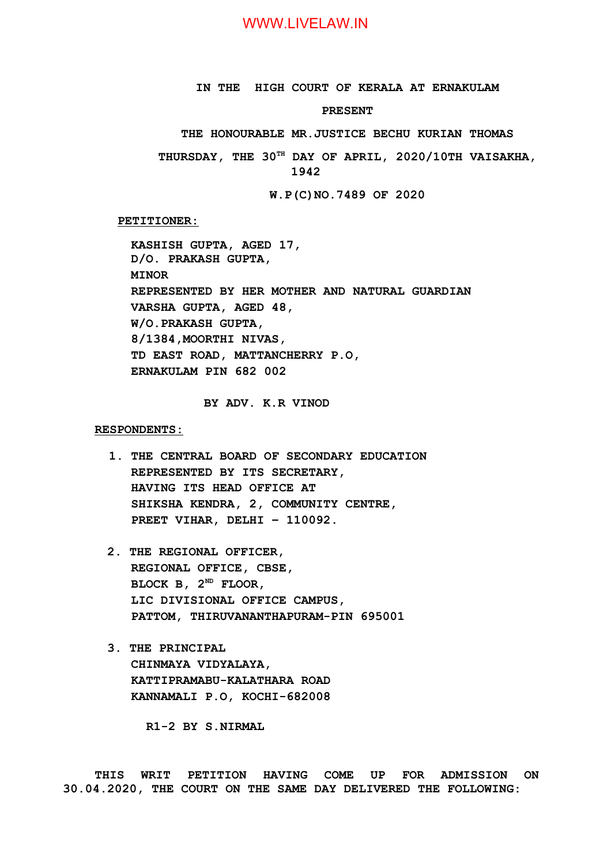## WWW.LIVELAW.IN

**IN THE HIGH COURT OF KERALA AT ERNAKULAM**

#### **PRESENT**

**THE HONOURABLE MR.JUSTICE BECHU KURIAN THOMAS**

**THURSDAY, THE 30TH DAY OF APRIL, 2020/10TH VAISAKHA, 1942**

**W.P(C)NO.7489 OF 2020**

**PETITIONER:**

**KASHISH GUPTA, AGED 17, D/O. PRAKASH GUPTA, MINOR REPRESENTED BY HER MOTHER AND NATURAL GUARDIAN VARSHA GUPTA, AGED 48, W/O.PRAKASH GUPTA, 8/1384,MOORTHI NIVAS, TD EAST ROAD, MATTANCHERRY P.O, ERNAKULAM PIN 682 002**

#### **BY ADV. K.R VINOD**

**RESPONDENTS:**

- **1. THE CENTRAL BOARD OF SECONDARY EDUCATION REPRESENTED BY ITS SECRETARY, HAVING ITS HEAD OFFICE AT SHIKSHA KENDRA, 2, COMMUNITY CENTRE, PREET VIHAR, DELHI – 110092.**
- **2. THE REGIONAL OFFICER, REGIONAL OFFICE, CBSE, BLOCK B, 2ND FLOOR, LIC DIVISIONAL OFFICE CAMPUS, PATTOM, THIRUVANANTHAPURAM-PIN 695001**
- **3. THE PRINCIPAL CHINMAYA VIDYALAYA, KATTIPRAMABU-KALATHARA ROAD KANNAMALI P.O, KOCHI-682008**

**R1-2 BY S.NIRMAL**

**THIS WRIT PETITION HAVING COME UP FOR ADMISSION ON 30.04.2020, THE COURT ON THE SAME DAY DELIVERED THE FOLLOWING:**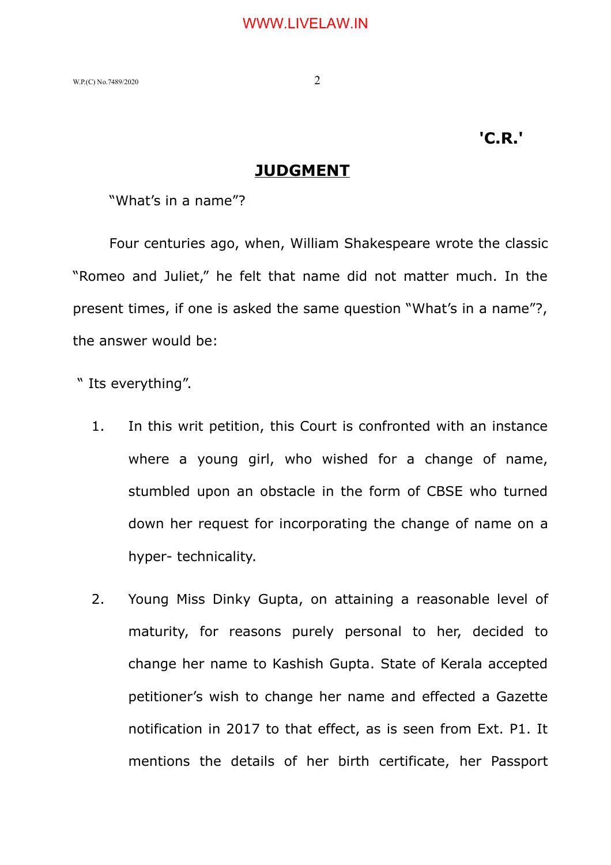## **'C.R.'**

## **JUDGMENT**

"What's in a name"?

Four centuries ago, when, William Shakespeare wrote the classic "Romeo and Juliet," he felt that name did not matter much. In the present times, if one is asked the same question "What's in a name"?, the answer would be:

" Its everything".

- 1. In this writ petition, this Court is confronted with an instance where a young girl, who wished for a change of name, stumbled upon an obstacle in the form of CBSE who turned down her request for incorporating the change of name on a hyper- technicality.
- 2. Young Miss Dinky Gupta, on attaining a reasonable level of maturity, for reasons purely personal to her, decided to change her name to Kashish Gupta. State of Kerala accepted petitioner's wish to change her name and effected a Gazette notification in 2017 to that effect, as is seen from Ext. P1. It mentions the details of her birth certificate, her Passport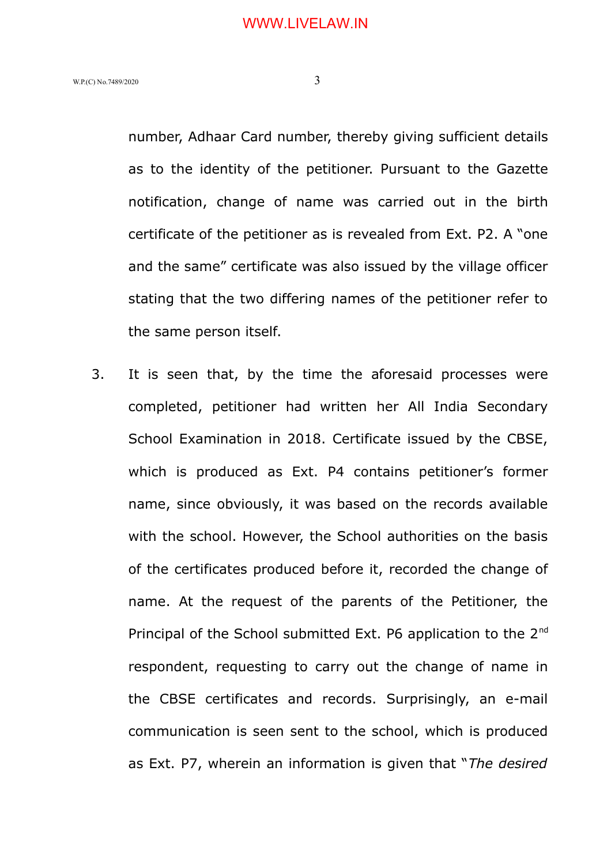number, Adhaar Card number, thereby giving sufficient details as to the identity of the petitioner. Pursuant to the Gazette notification, change of name was carried out in the birth certificate of the petitioner as is revealed from Ext. P2. A "one and the same" certificate was also issued by the village officer stating that the two differing names of the petitioner refer to the same person itself.

3. It is seen that, by the time the aforesaid processes were completed, petitioner had written her All India Secondary School Examination in 2018. Certificate issued by the CBSE, which is produced as Ext. P4 contains petitioner's former name, since obviously, it was based on the records available with the school. However, the School authorities on the basis of the certificates produced before it, recorded the change of name. At the request of the parents of the Petitioner, the Principal of the School submitted Ext. P6 application to the 2<sup>nd</sup> respondent, requesting to carry out the change of name in the CBSE certificates and records. Surprisingly, an e-mail communication is seen sent to the school, which is produced as Ext. P7, wherein an information is given that "*The desired*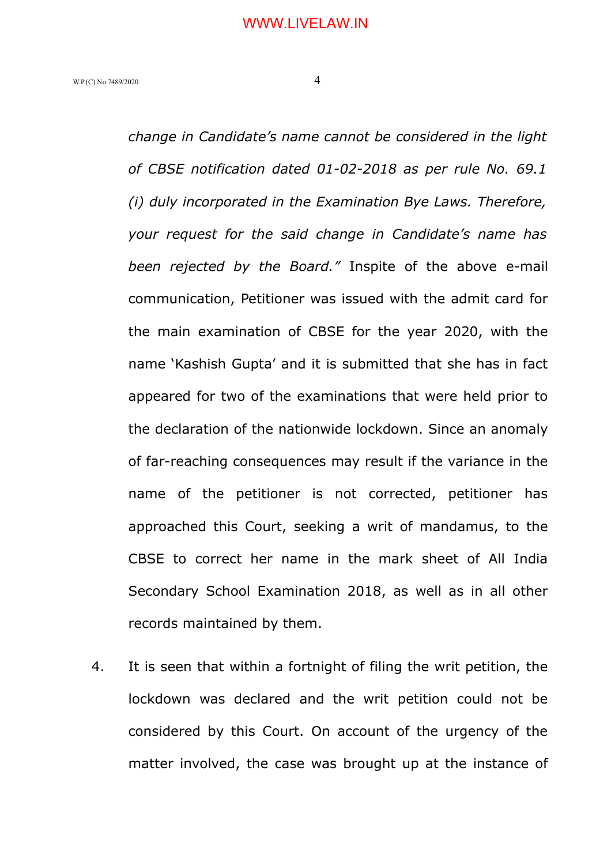*change in Candidate's name cannot be considered in the light of CBSE notification dated 01-02-2018 as per rule No. 69.1 (i) duly incorporated in the Examination Bye Laws. Therefore, your request for the said change in Candidate's name has been rejected by the Board."* Inspite of the above e-mail communication, Petitioner was issued with the admit card for the main examination of CBSE for the year 2020, with the name 'Kashish Gupta' and it is submitted that she has in fact appeared for two of the examinations that were held prior to the declaration of the nationwide lockdown. Since an anomaly of far-reaching consequences may result if the variance in the name of the petitioner is not corrected, petitioner has approached this Court, seeking a writ of mandamus, to the CBSE to correct her name in the mark sheet of All India Secondary School Examination 2018, as well as in all other records maintained by them.

4. It is seen that within a fortnight of filing the writ petition, the lockdown was declared and the writ petition could not be considered by this Court. On account of the urgency of the matter involved, the case was brought up at the instance of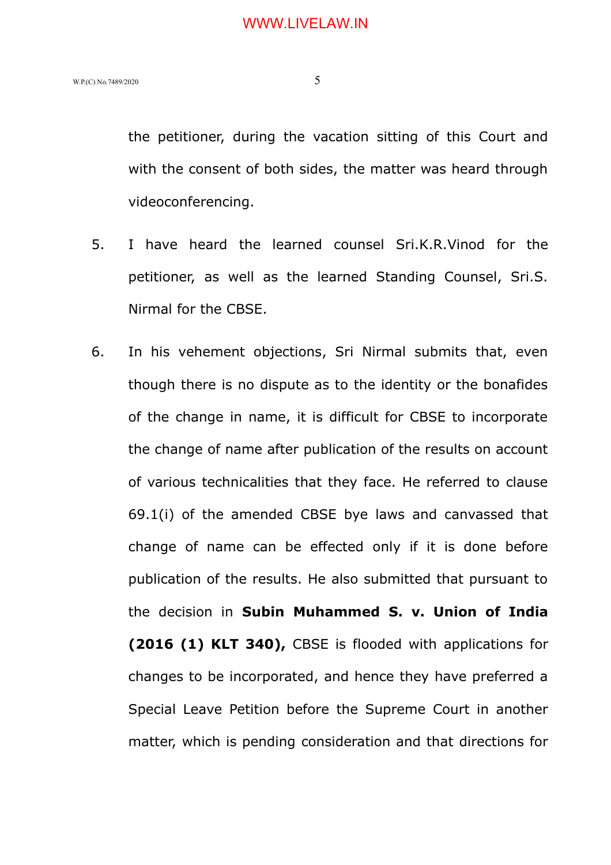the petitioner, during the vacation sitting of this Court and with the consent of both sides, the matter was heard through videoconferencing.

- 5. I have heard the learned counsel Sri.K.R.Vinod for the petitioner, as well as the learned Standing Counsel, Sri.S. Nirmal for the CBSE.
- 6. In his vehement objections, Sri Nirmal submits that, even though there is no dispute as to the identity or the bonafides of the change in name, it is difficult for CBSE to incorporate the change of name after publication of the results on account of various technicalities that they face. He referred to clause 69.1(i) of the amended CBSE bye laws and canvassed that change of name can be effected only if it is done before publication of the results. He also submitted that pursuant to the decision in **Subin Muhammed S. v. Union of India (2016 (1) KLT 340),** CBSE is flooded with applications for changes to be incorporated, and hence they have preferred a Special Leave Petition before the Supreme Court in another matter, which is pending consideration and that directions for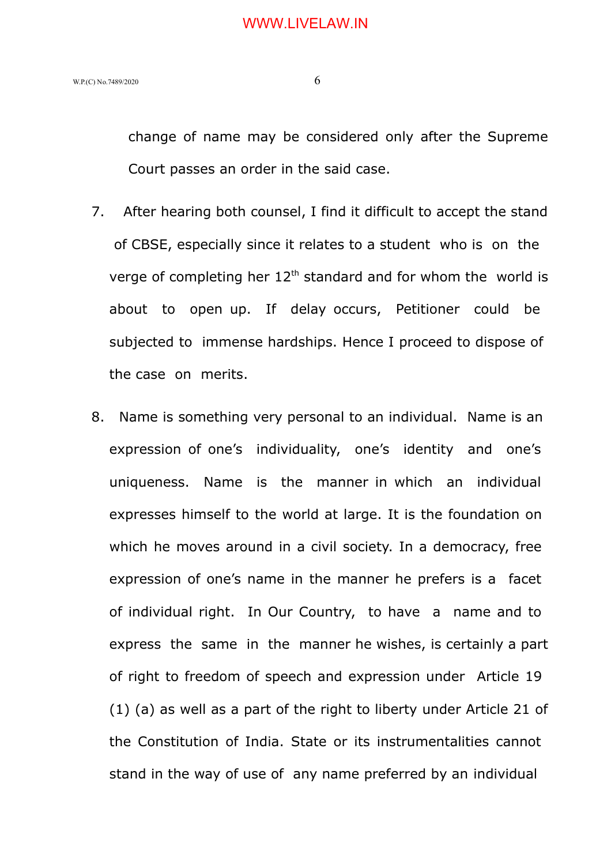change of name may be considered only after the Supreme Court passes an order in the said case.

- 7. After hearing both counsel, I find it difficult to accept the stand of CBSE, especially since it relates to a student who is on the verge of completing her  $12<sup>th</sup>$  standard and for whom the world is about to open up. If delay occurs, Petitioner could be subjected to immense hardships. Hence I proceed to dispose of the case on merits.
- 8. Name is something very personal to an individual. Name is an expression of one's individuality, one's identity and one's uniqueness. Name is the manner in which an individual expresses himself to the world at large. It is the foundation on which he moves around in a civil society. In a democracy, free expression of one's name in the manner he prefers is a facet of individual right. In Our Country, to have a name and to express the same in the manner he wishes, is certainly a part of right to freedom of speech and expression under Article 19 (1) (a) as well as a part of the right to liberty under Article 21 of the Constitution of India. State or its instrumentalities cannot stand in the way of use of any name preferred by an individual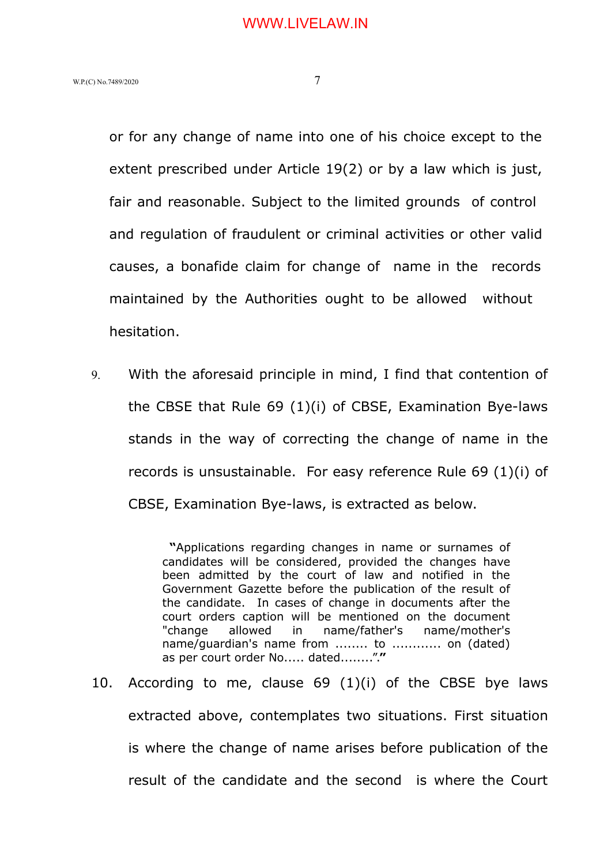or for any change of name into one of his choice except to the extent prescribed under Article 19(2) or by a law which is just, fair and reasonable. Subject to the limited grounds of control and regulation of fraudulent or criminal activities or other valid causes, a bonafide claim for change of name in the records maintained by the Authorities ought to be allowed without hesitation.

9. With the aforesaid principle in mind, I find that contention of the CBSE that Rule 69 (1)(i) of CBSE, Examination Bye-laws stands in the way of correcting the change of name in the records is unsustainable. For easy reference Rule 69 (1)(i) of CBSE, Examination Bye-laws, is extracted as below.

> **"**Applications regarding changes in name or surnames of candidates will be considered, provided the changes have been admitted by the court of law and notified in the Government Gazette before the publication of the result of the candidate. In cases of change in documents after the court orders caption will be mentioned on the document "change allowed in name/father's name/mother's name/guardian's name from ........ to ............ on (dated) as per court order No..... dated........".**"**

10. According to me, clause  $69$  (1)(i) of the CBSE bye laws extracted above, contemplates two situations. First situation is where the change of name arises before publication of the result of the candidate and the second is where the Court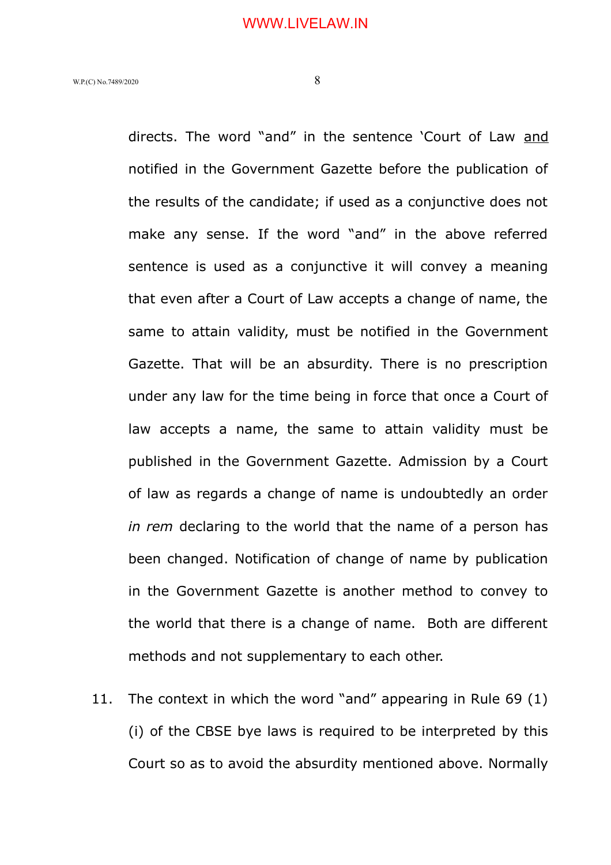directs. The word "and" in the sentence 'Court of Law and notified in the Government Gazette before the publication of the results of the candidate; if used as a conjunctive does not make any sense. If the word "and" in the above referred sentence is used as a conjunctive it will convey a meaning that even after a Court of Law accepts a change of name, the same to attain validity, must be notified in the Government Gazette. That will be an absurdity. There is no prescription under any law for the time being in force that once a Court of law accepts a name, the same to attain validity must be published in the Government Gazette. Admission by a Court of law as regards a change of name is undoubtedly an order *in rem* declaring to the world that the name of a person has been changed. Notification of change of name by publication in the Government Gazette is another method to convey to the world that there is a change of name. Both are different methods and not supplementary to each other.

11. The context in which the word "and" appearing in Rule 69 (1) (i) of the CBSE bye laws is required to be interpreted by this Court so as to avoid the absurdity mentioned above. Normally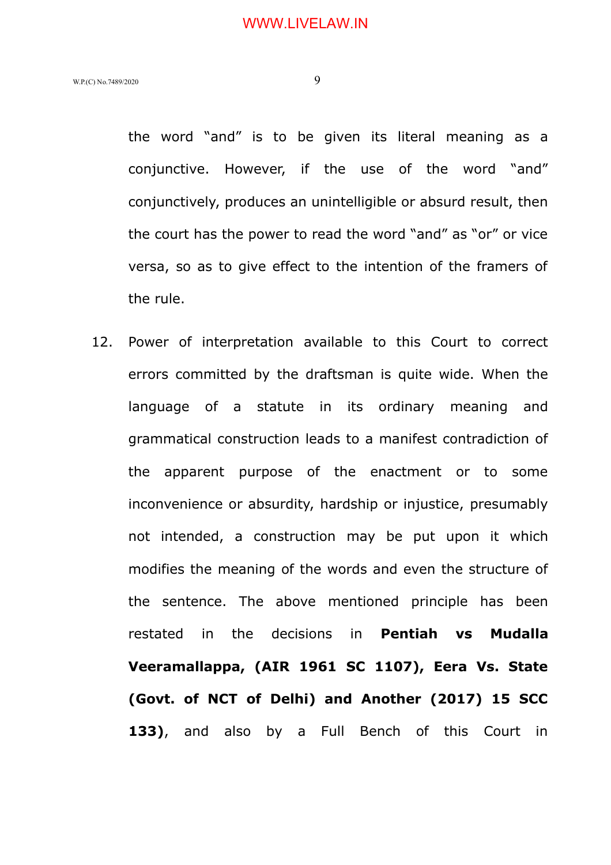the word "and" is to be given its literal meaning as a conjunctive. However, if the use of the word "and" conjunctively, produces an unintelligible or absurd result, then the court has the power to read the word "and" as "or" or vice versa, so as to give effect to the intention of the framers of the rule.

12. Power of interpretation available to this Court to correct errors committed by the draftsman is quite wide. When the language of a statute in its ordinary meaning and grammatical construction leads to a manifest contradiction of the apparent purpose of the enactment or to some inconvenience or absurdity, hardship or injustice, presumably not intended, a construction may be put upon it which modifies the meaning of the words and even the structure of the sentence. The above mentioned principle has been restated in the decisions in **Pentiah vs Mudalla Veeramallappa, (AIR 1961 SC 1107), Eera Vs. State (Govt. of NCT of Delhi) and Another (2017) 15 SCC 133)**, and also by a Full Bench of this Court in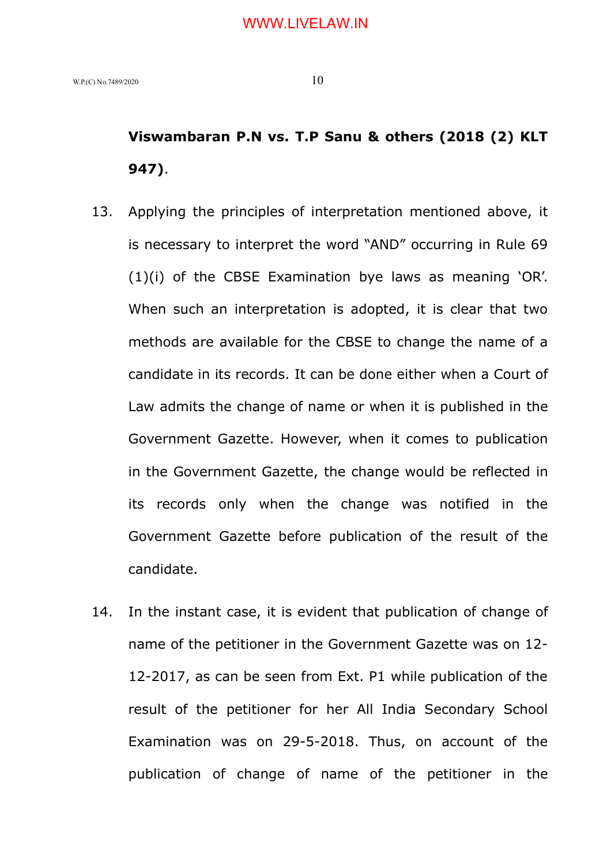# **Viswambaran P.N vs. T.P Sanu & others (2018 (2) KLT 947)**.

- 13. Applying the principles of interpretation mentioned above, it is necessary to interpret the word "AND" occurring in Rule 69 (1)(i) of the CBSE Examination bye laws as meaning 'OR'. When such an interpretation is adopted, it is clear that two methods are available for the CBSE to change the name of a candidate in its records. It can be done either when a Court of Law admits the change of name or when it is published in the Government Gazette. However, when it comes to publication in the Government Gazette, the change would be reflected in its records only when the change was notified in the Government Gazette before publication of the result of the candidate.
- 14. In the instant case, it is evident that publication of change of name of the petitioner in the Government Gazette was on 12- 12-2017, as can be seen from Ext. P1 while publication of the result of the petitioner for her All India Secondary School Examination was on 29-5-2018. Thus, on account of the publication of change of name of the petitioner in the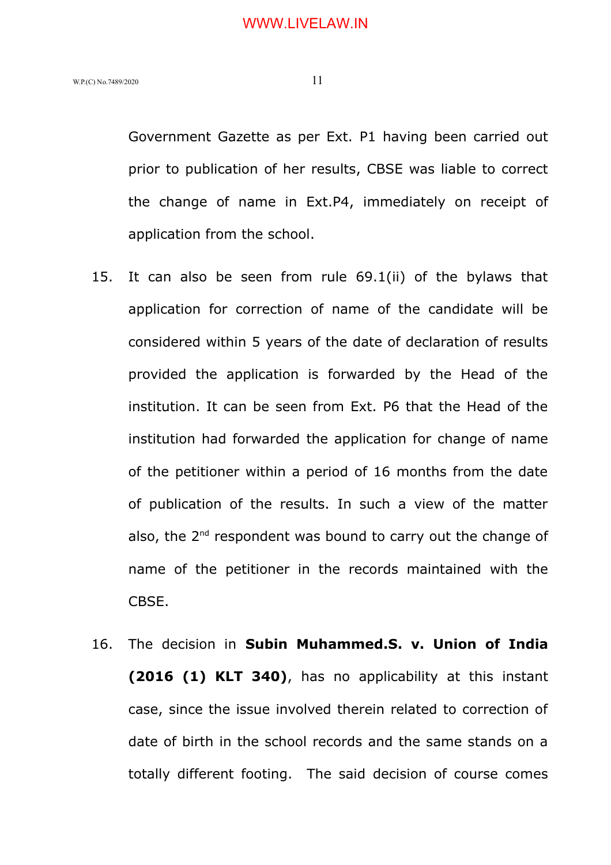Government Gazette as per Ext. P1 having been carried out prior to publication of her results, CBSE was liable to correct the change of name in Ext.P4, immediately on receipt of application from the school.

- 15. It can also be seen from rule 69.1(ii) of the bylaws that application for correction of name of the candidate will be considered within 5 years of the date of declaration of results provided the application is forwarded by the Head of the institution. It can be seen from Ext. P6 that the Head of the institution had forwarded the application for change of name of the petitioner within a period of 16 months from the date of publication of the results. In such a view of the matter also, the  $2<sup>nd</sup>$  respondent was bound to carry out the change of name of the petitioner in the records maintained with the CBSE.
- 16. The decision in **Subin Muhammed.S. v. Union of India (2016 (1) KLT 340)**, has no applicability at this instant case, since the issue involved therein related to correction of date of birth in the school records and the same stands on a totally different footing. The said decision of course comes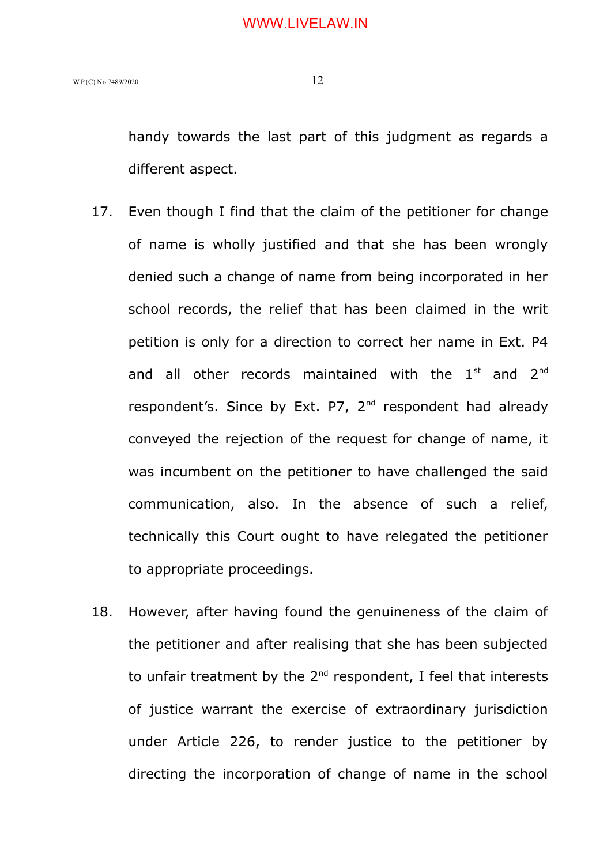handy towards the last part of this judgment as regards a different aspect.

- 17. Even though I find that the claim of the petitioner for change of name is wholly justified and that she has been wrongly denied such a change of name from being incorporated in her school records, the relief that has been claimed in the writ petition is only for a direction to correct her name in Ext. P4 and all other records maintained with the  $1<sup>st</sup>$  and  $2<sup>nd</sup>$ respondent's. Since by Ext. P7, 2<sup>nd</sup> respondent had already conveyed the rejection of the request for change of name, it was incumbent on the petitioner to have challenged the said communication, also. In the absence of such a relief, technically this Court ought to have relegated the petitioner to appropriate proceedings.
- 18. However, after having found the genuineness of the claim of the petitioner and after realising that she has been subjected to unfair treatment by the  $2<sup>nd</sup>$  respondent, I feel that interests of justice warrant the exercise of extraordinary jurisdiction under Article 226, to render justice to the petitioner by directing the incorporation of change of name in the school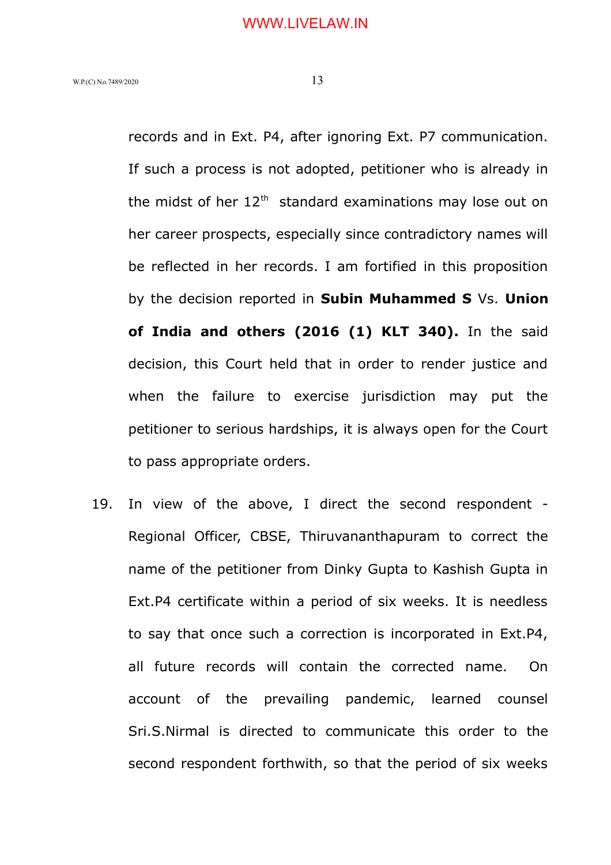records and in Ext. P4, after ignoring Ext. P7 communication. If such a process is not adopted, petitioner who is already in the midst of her  $12<sup>th</sup>$  standard examinations may lose out on her career prospects, especially since contradictory names will be reflected in her records. I am fortified in this proposition by the decision reported in **Subin Muhammed S** Vs. **Union of India and others (2016 (1) KLT 340).** In the said decision, this Court held that in order to render justice and when the failure to exercise jurisdiction may put the petitioner to serious hardships, it is always open for the Court to pass appropriate orders.

19. In view of the above, I direct the second respondent - Regional Officer, CBSE, Thiruvananthapuram to correct the name of the petitioner from Dinky Gupta to Kashish Gupta in Ext.P4 certificate within a period of six weeks. It is needless to say that once such a correction is incorporated in Ext.P4, all future records will contain the corrected name. On account of the prevailing pandemic, learned counsel Sri.S.Nirmal is directed to communicate this order to the second respondent forthwith, so that the period of six weeks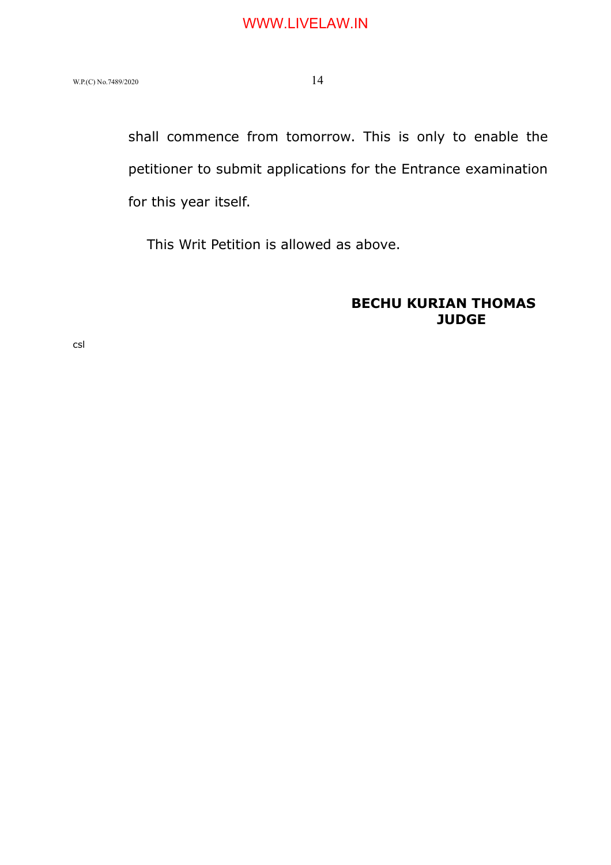shall commence from tomorrow. This is only to enable the petitioner to submit applications for the Entrance examination for this year itself.

This Writ Petition is allowed as above.

# **BECHU KURIAN THOMAS JUDGE**

csl